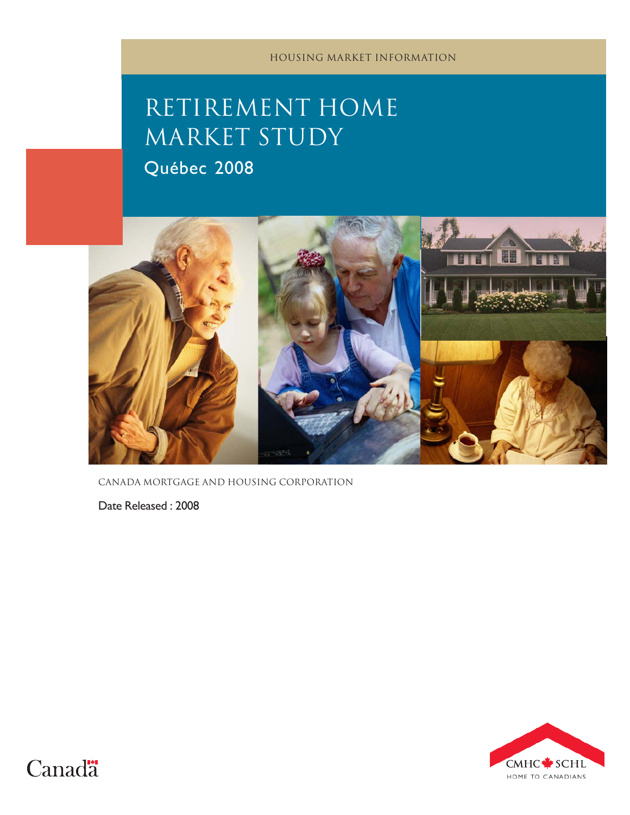# RETIREMENT HOME MARKET STUDY

Québec 2008



canada mortgage and housing corporation

Date Released : 2008



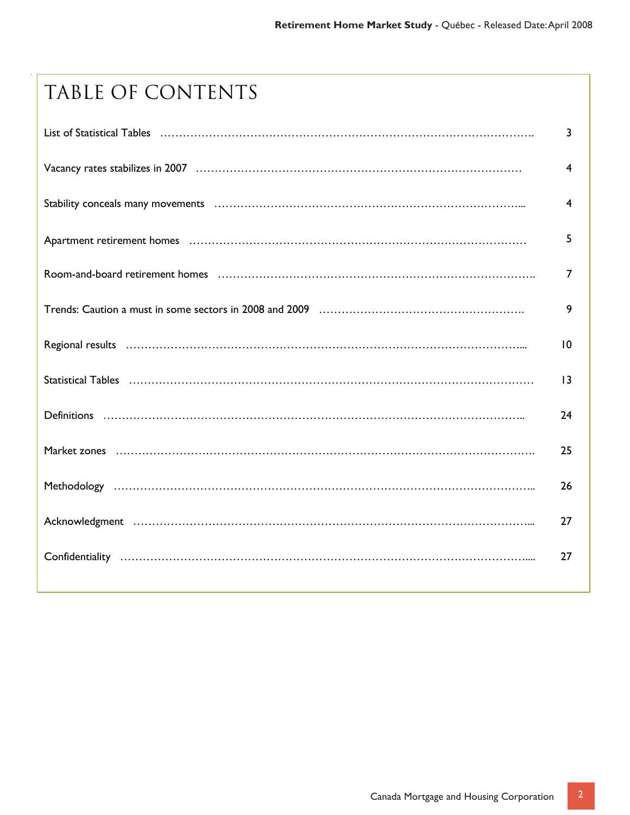# TABLE OF CONTENTS

| List of Statistical Tables (and according to the control of the control of the control of Statistical Tables (and according to the control of the control of the control of the control of the control of the control of the c | 3               |
|--------------------------------------------------------------------------------------------------------------------------------------------------------------------------------------------------------------------------------|-----------------|
|                                                                                                                                                                                                                                | 4               |
|                                                                                                                                                                                                                                | 4               |
|                                                                                                                                                                                                                                | 5               |
|                                                                                                                                                                                                                                | 7               |
|                                                                                                                                                                                                                                | 9               |
|                                                                                                                                                                                                                                | 10              |
|                                                                                                                                                                                                                                | $\overline{13}$ |
|                                                                                                                                                                                                                                | 24              |
|                                                                                                                                                                                                                                | 25              |
|                                                                                                                                                                                                                                | 26              |
|                                                                                                                                                                                                                                | 27              |
|                                                                                                                                                                                                                                | 27              |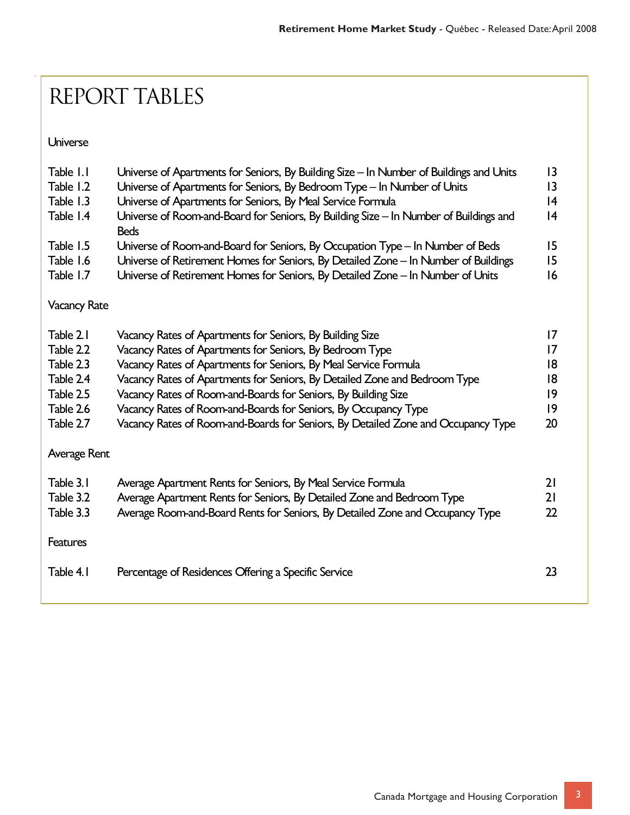# Report tables

Universe

| Table I.I           | Universe of Apartments for Seniors, By Building Size - In Number of Buildings and Units              | 3               |
|---------------------|------------------------------------------------------------------------------------------------------|-----------------|
| Table 1.2           | Universe of Apartments for Seniors, By Bedroom Type - In Number of Units                             | 3               |
| Table 1.3           | Universe of Apartments for Seniors, By Meal Service Formula                                          | 4               |
| Table 1.4           | Universe of Room-and-Board for Seniors, By Building Size - In Number of Buildings and<br><b>Beds</b> | 4               |
| Table 1.5           | Universe of Room-and-Board for Seniors, By Occupation Type - In Number of Beds                       | 15              |
| Table 1.6           | Universe of Retirement Homes for Seniors, By Detailed Zone - In Number of Buildings                  | 15              |
| Table 1.7           | Universe of Retirement Homes for Seniors, By Detailed Zone - In Number of Units                      | 16              |
| <b>Vacancy Rate</b> |                                                                                                      |                 |
| Table 2.1           | Vacancy Rates of Apartments for Seniors, By Building Size                                            | $\overline{17}$ |
| Table 2.2           | Vacancy Rates of Apartments for Seniors, By Bedroom Type                                             | $\overline{17}$ |
| Table 2.3           | Vacancy Rates of Apartments for Seniors, By Meal Service Formula                                     | 18              |
| Table 2.4           | Vacancy Rates of Apartments for Seniors, By Detailed Zone and Bedroom Type                           | 18              |
| Table 2.5           | Vacancy Rates of Room-and-Boards for Seniors, By Building Size                                       | 9               |
| Table 2.6           | Vacancy Rates of Room-and-Boards for Seniors, By Occupancy Type                                      | 9               |
| Table 2.7           | Vacancy Rates of Room-and-Boards for Seniors, By Detailed Zone and Occupancy Type                    | 20              |
| Average Rent        |                                                                                                      |                 |
| Table 3.1           | Average Apartment Rents for Seniors, By Meal Service Formula                                         | 21              |
| Table 3.2           | Average Apartment Rents for Seniors, By Detailed Zone and Bedroom Type                               | 21              |
| Table 3.3           | Average Room-and-Board Rents for Seniors, By Detailed Zone and Occupancy Type                        | 22              |
| <b>Features</b>     |                                                                                                      |                 |
| Table 4.1           | Percentage of Residences Offering a Specific Service                                                 | 23              |
|                     |                                                                                                      |                 |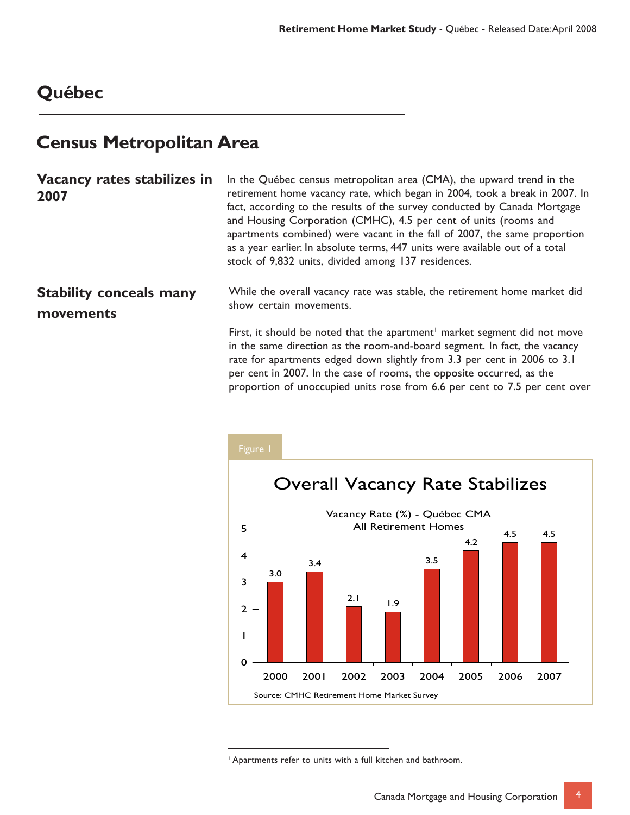### **Québec**

### **Census Metropolitan Area**

| Vacancy rates stabilizes in<br>2007         | In the Québec census metropolitan area (CMA), the upward trend in the<br>retirement home vacancy rate, which began in 2004, took a break in 2007. In<br>fact, according to the results of the survey conducted by Canada Mortgage<br>and Housing Corporation (CMHC), 4.5 per cent of units (rooms and<br>apartments combined) were vacant in the fall of 2007, the same proportion<br>as a year earlier. In absolute terms, 447 units were available out of a total<br>stock of 9,832 units, divided among 137 residences. |
|---------------------------------------------|----------------------------------------------------------------------------------------------------------------------------------------------------------------------------------------------------------------------------------------------------------------------------------------------------------------------------------------------------------------------------------------------------------------------------------------------------------------------------------------------------------------------------|
| <b>Stability conceals many</b><br>movements | While the overall vacancy rate was stable, the retirement home market did<br>show certain movements.                                                                                                                                                                                                                                                                                                                                                                                                                       |
|                                             | First, it should be noted that the apartment <sup>1</sup> market segment did not move<br>in the same direction as the room-and-board segment. In fact, the vacancy<br>rate for apartments edged down slightly from 3.3 per cent in 2006 to 3.1                                                                                                                                                                                                                                                                             |



per cent in 2007. In the case of rooms, the opposite occurred, as the

proportion of unoccupied units rose from 6.6 per cent to 7.5 per cent over

1 Apartments refer to units with a full kitchen and bathroom.

4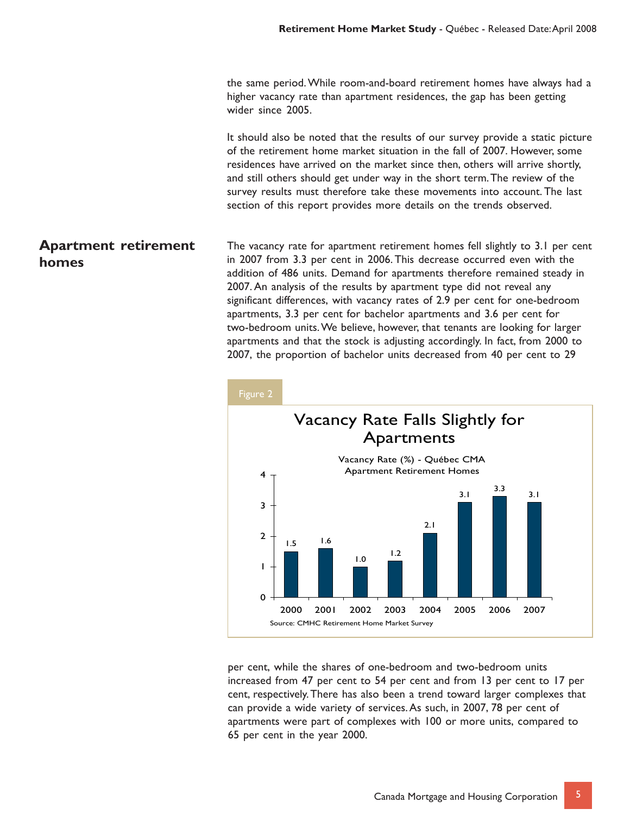the same period. While room-and-board retirement homes have always had a higher vacancy rate than apartment residences, the gap has been getting wider since 2005.

It should also be noted that the results of our survey provide a static picture of the retirement home market situation in the fall of 2007. However, some residences have arrived on the market since then, others will arrive shortly, and still others should get under way in the short term. The review of the survey results must therefore take these movements into account. The last section of this report provides more details on the trends observed.

#### **Apartment retirement homes** The vacancy rate for apartment retirement homes fell slightly to 3.1 per cent in 2007 from 3.3 per cent in 2006. This decrease occurred even with the addition of 486 units. Demand for apartments therefore remained steady in 2007. An analysis of the results by apartment type did not reveal any significant differences, with vacancy rates of 2.9 per cent for one-bedroom apartments, 3.3 per cent for bachelor apartments and 3.6 per cent for two-bedroom units. We believe, however, that tenants are looking for larger apartments and that the stock is adjusting accordingly. In fact, from 2000 to 2007, the proportion of bachelor units decreased from 40 per cent to 29



per cent, while the shares of one-bedroom and two-bedroom units increased from 47 per cent to 54 per cent and from 13 per cent to 17 per cent, respectively. There has also been a trend toward larger complexes that can provide a wide variety of services. As such, in 2007, 78 per cent of apartments were part of complexes with 100 or more units, compared to 65 per cent in the year 2000.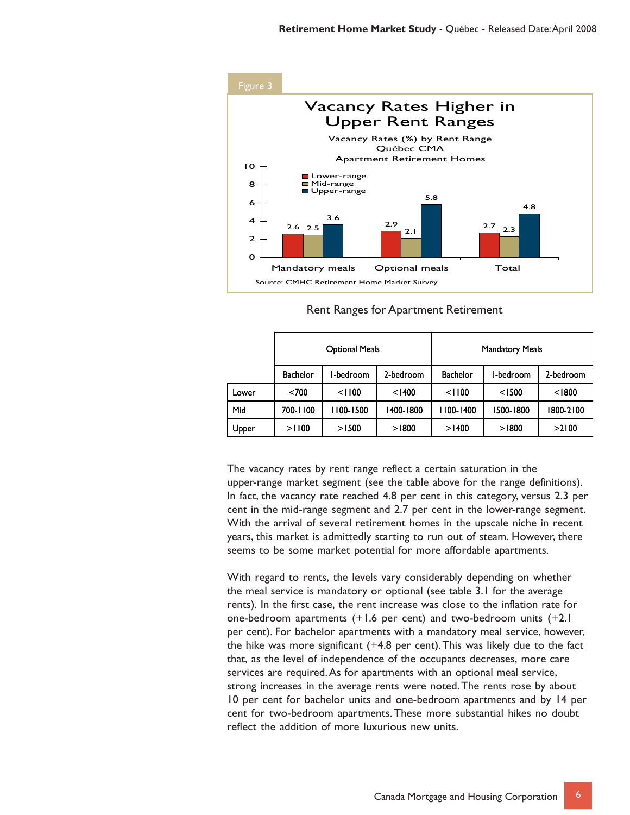

#### Rent Ranges for Apartment Retirement

|       |                 | <b>Optional Meals</b> |           |                 | <b>Mandatory Meals</b> |           |
|-------|-----------------|-----------------------|-----------|-----------------|------------------------|-----------|
|       | <b>Bachelor</b> | -bedroom              | 2-bedroom | <b>Bachelor</b> | I-bedroom              | 2-bedroom |
| Lower | < 700           | < 1100                | < 1400    | < 1100          | < 1500                 | < 1800    |
| Mid   | 700-1100        | 100-1500              | 1400-1800 | 100-1400        | 1500-1800              | 1800-2100 |
| Upper | >1100           | >1500                 | >1800     | >1400           | >1800                  | >2100     |

The vacancy rates by rent range reflect a certain saturation in the upper-range market segment (see the table above for the range definitions). In fact, the vacancy rate reached 4.8 per cent in this category, versus 2.3 per cent in the mid-range segment and 2.7 per cent in the lower-range segment. With the arrival of several retirement homes in the upscale niche in recent years, this market is admittedly starting to run out of steam. However, there seems to be some market potential for more affordable apartments.

With regard to rents, the levels vary considerably depending on whether the meal service is mandatory or optional (see table 3.1 for the average rents). In the first case, the rent increase was close to the inflation rate for one-bedroom apartments (+1.6 per cent) and two-bedroom units (+2.1 per cent). For bachelor apartments with a mandatory meal service, however, the hike was more significant (+4.8 per cent). This was likely due to the fact that, as the level of independence of the occupants decreases, more care services are required. As for apartments with an optional meal service, strong increases in the average rents were noted. The rents rose by about 10 per cent for bachelor units and one-bedroom apartments and by 14 per cent for two-bedroom apartments. These more substantial hikes no doubt reflect the addition of more luxurious new units.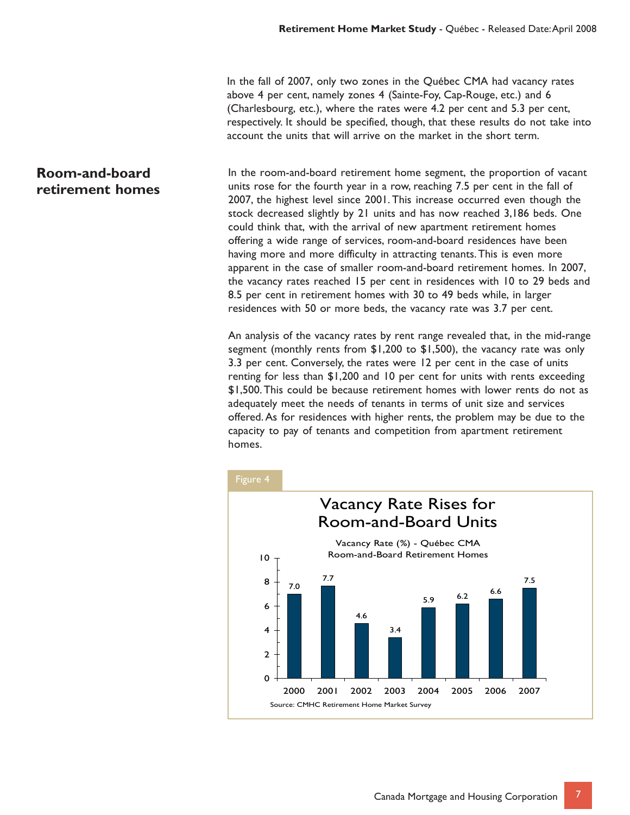In the fall of 2007, only two zones in the Québec CMA had vacancy rates above 4 per cent, namely zones 4 (Sainte-Foy, Cap-Rouge, etc.) and 6 (Charlesbourg, etc.), where the rates were 4.2 per cent and 5.3 per cent, respectively. It should be specified, though, that these results do not take into account the units that will arrive on the market in the short term.

#### **Room-and-board retirement homes**

In the room-and-board retirement home segment, the proportion of vacant units rose for the fourth year in a row, reaching 7.5 per cent in the fall of 2007, the highest level since 2001. This increase occurred even though the stock decreased slightly by 21 units and has now reached 3,186 beds. One could think that, with the arrival of new apartment retirement homes offering a wide range of services, room-and-board residences have been having more and more difficulty in attracting tenants. This is even more apparent in the case of smaller room-and-board retirement homes. In 2007, the vacancy rates reached 15 per cent in residences with 10 to 29 beds and 8.5 per cent in retirement homes with 30 to 49 beds while, in larger residences with 50 or more beds, the vacancy rate was 3.7 per cent.

An analysis of the vacancy rates by rent range revealed that, in the mid-range segment (monthly rents from \$1,200 to \$1,500), the vacancy rate was only 3.3 per cent. Conversely, the rates were 12 per cent in the case of units renting for less than \$1,200 and 10 per cent for units with rents exceeding \$1,500. This could be because retirement homes with lower rents do not as adequately meet the needs of tenants in terms of unit size and services offered. As for residences with higher rents, the problem may be due to the capacity to pay of tenants and competition from apartment retirement homes.



7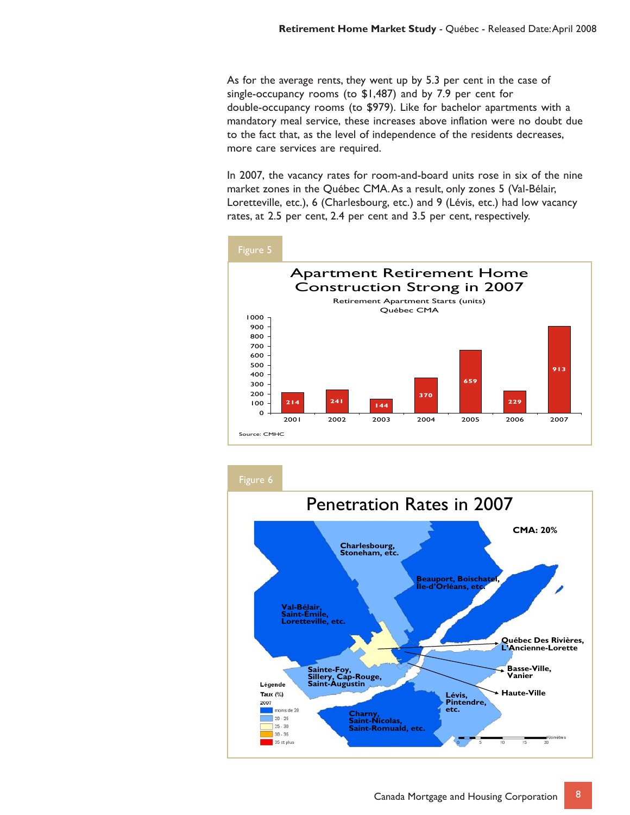As for the average rents, they went up by 5.3 per cent in the case of single-occupancy rooms (to \$1,487) and by 7.9 per cent for double-occupancy rooms (to \$979). Like for bachelor apartments with a mandatory meal service, these increases above inflation were no doubt due to the fact that, as the level of independence of the residents decreases, more care services are required.

In 2007, the vacancy rates for room-and-board units rose in six of the nine market zones in the Québec CMA. As a result, only zones 5 (Val-Bélair, Loretteville, etc.), 6 (Charlesbourg, etc.) and 9 (Lévis, etc.) had low vacancy rates, at 2.5 per cent, 2.4 per cent and 3.5 per cent, respectively.



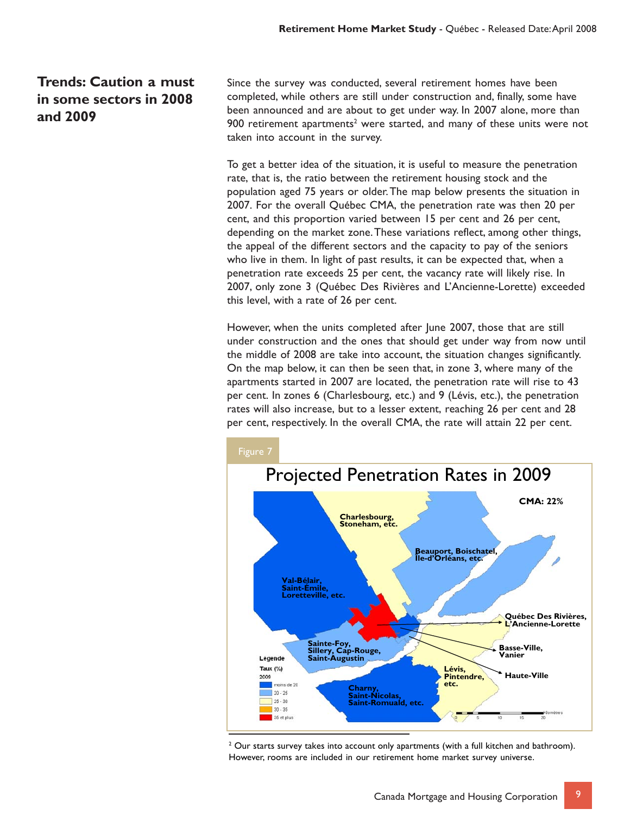#### **Trends: Caution a must in some sectors in 2008 and 2009**

Since the survey was conducted, several retirement homes have been completed, while others are still under construction and, finally, some have been announced and are about to get under way. In 2007 alone, more than 900 retirement apartments<sup>2</sup> were started, and many of these units were not taken into account in the survey.

To get a better idea of the situation, it is useful to measure the penetration rate, that is, the ratio between the retirement housing stock and the population aged 75 years or older. The map below presents the situation in 2007. For the overall Québec CMA, the penetration rate was then 20 per cent, and this proportion varied between 15 per cent and 26 per cent, depending on the market zone. These variations reflect, among other things, the appeal of the different sectors and the capacity to pay of the seniors who live in them. In light of past results, it can be expected that, when a penetration rate exceeds 25 per cent, the vacancy rate will likely rise. In 2007, only zone 3 (Québec Des Rivières and L'Ancienne-Lorette) exceeded this level, with a rate of 26 per cent.

However, when the units completed after June 2007, those that are still under construction and the ones that should get under way from now until the middle of 2008 are take into account, the situation changes significantly. On the map below, it can then be seen that, in zone 3, where many of the apartments started in 2007 are located, the penetration rate will rise to 43 per cent. In zones 6 (Charlesbourg, etc.) and 9 (Lévis, etc.), the penetration rates will also increase, but to a lesser extent, reaching 26 per cent and 28 per cent, respectively. In the overall CMA, the rate will attain 22 per cent.



 $2$  Our starts survey takes into account only apartments (with a full kitchen and bathroom). However, rooms are included in our retirement home market survey universe.

9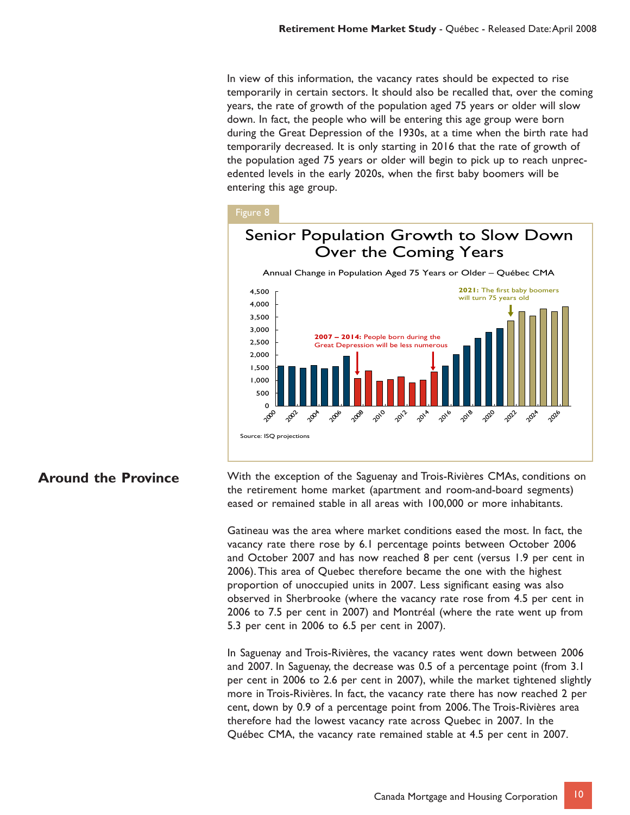In view of this information, the vacancy rates should be expected to rise temporarily in certain sectors. It should also be recalled that, over the coming years, the rate of growth of the population aged 75 years or older will slow down. In fact, the people who will be entering this age group were born during the Great Depression of the 1930s, at a time when the birth rate had temporarily decreased. It is only starting in 2016 that the rate of growth of the population aged 75 years or older will begin to pick up to reach unprecedented levels in the early 2020s, when the first baby boomers will be entering this age group.

#### Figure 8



#### **Around the Province**

With the exception of the Saguenay and Trois-Rivières CMAs, conditions on the retirement home market (apartment and room-and-board segments) eased or remained stable in all areas with 100,000 or more inhabitants.

Gatineau was the area where market conditions eased the most. In fact, the vacancy rate there rose by 6.1 percentage points between October 2006 and October 2007 and has now reached 8 per cent (versus 1.9 per cent in 2006). This area of Quebec therefore became the one with the highest proportion of unoccupied units in 2007. Less significant easing was also observed in Sherbrooke (where the vacancy rate rose from 4.5 per cent in 2006 to 7.5 per cent in 2007) and Montréal (where the rate went up from 5.3 per cent in 2006 to 6.5 per cent in 2007).

In Saguenay and Trois-Rivières, the vacancy rates went down between 2006 and 2007. In Saguenay, the decrease was 0.5 of a percentage point (from 3.1 per cent in 2006 to 2.6 per cent in 2007), while the market tightened slightly more in Trois-Rivières. In fact, the vacancy rate there has now reached 2 per cent, down by 0.9 of a percentage point from 2006. The Trois-Rivières area therefore had the lowest vacancy rate across Quebec in 2007. In the Québec CMA, the vacancy rate remained stable at 4.5 per cent in 2007.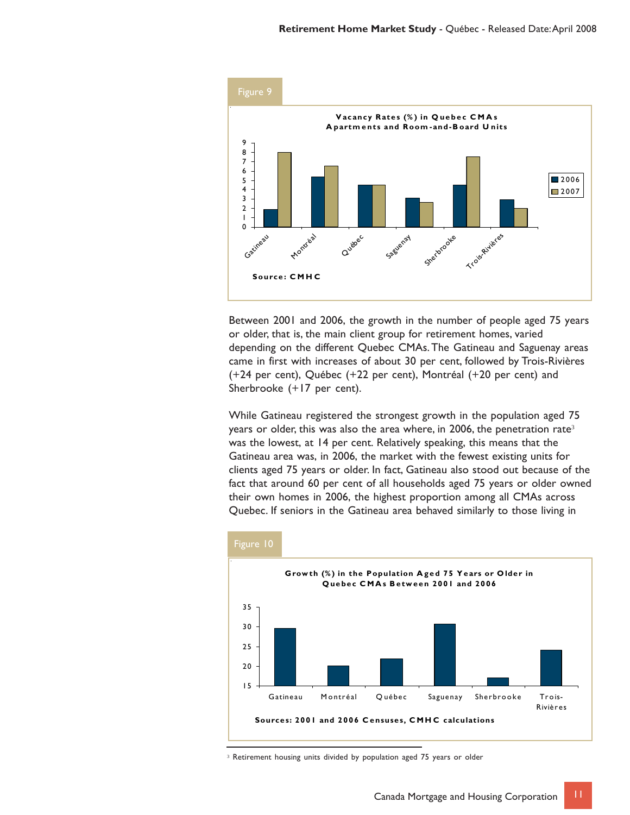

Between 2001 and 2006, the growth in the number of people aged 75 years or older, that is, the main client group for retirement homes, varied depending on the different Quebec CMAs. The Gatineau and Saguenay areas came in first with increases of about 30 per cent, followed by Trois-Rivières (+24 per cent), Québec (+22 per cent), Montréal (+20 per cent) and Sherbrooke (+17 per cent).

While Gatineau registered the strongest growth in the population aged 75 years or older, this was also the area where, in 2006, the penetration rate<sup>3</sup> was the lowest, at 14 per cent. Relatively speaking, this means that the Gatineau area was, in 2006, the market with the fewest existing units for clients aged 75 years or older. In fact, Gatineau also stood out because of the fact that around 60 per cent of all households aged 75 years or older owned their own homes in 2006, the highest proportion among all CMAs across Quebec. If seniors in the Gatineau area behaved similarly to those living in



<sup>&</sup>lt;sup>3</sup> Retirement housing units divided by population aged 75 years or older

11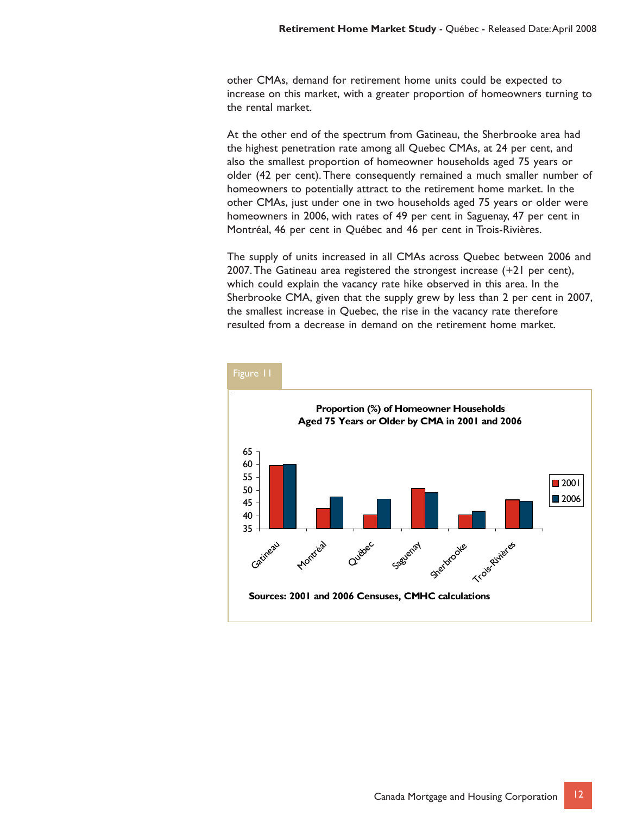other CMAs, demand for retirement home units could be expected to increase on this market, with a greater proportion of homeowners turning to the rental market.

At the other end of the spectrum from Gatineau, the Sherbrooke area had the highest penetration rate among all Quebec CMAs, at 24 per cent, and also the smallest proportion of homeowner households aged 75 years or older (42 per cent). There consequently remained a much smaller number of homeowners to potentially attract to the retirement home market. In the other CMAs, just under one in two households aged 75 years or older were homeowners in 2006, with rates of 49 per cent in Saguenay, 47 per cent in Montréal, 46 per cent in Québec and 46 per cent in Trois-Rivières.

The supply of units increased in all CMAs across Quebec between 2006 and 2007. The Gatineau area registered the strongest increase (+21 per cent), which could explain the vacancy rate hike observed in this area. In the Sherbrooke CMA, given that the supply grew by less than 2 per cent in 2007, the smallest increase in Quebec, the rise in the vacancy rate therefore resulted from a decrease in demand on the retirement home market.

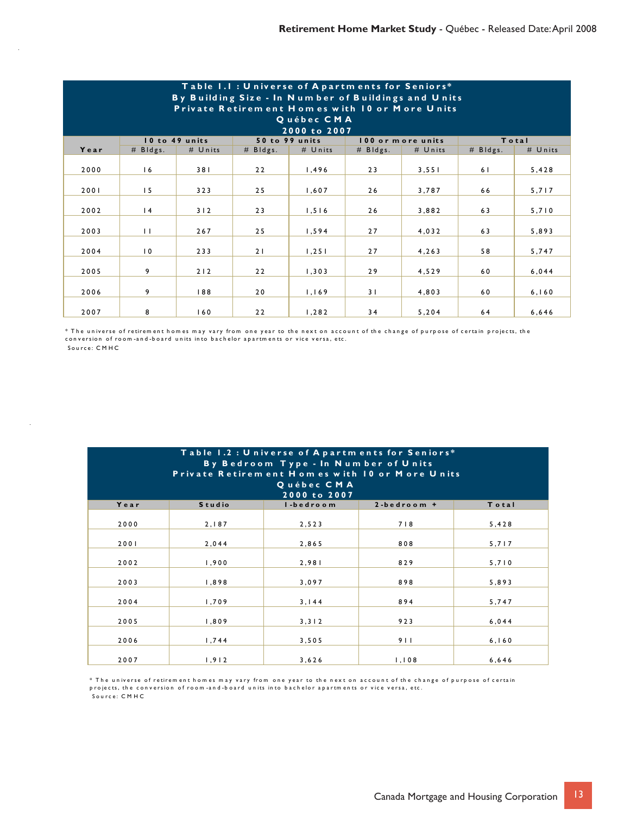| Table 1.1: Universe of Apartments for Seniors*<br>By Building Size - In Number of Buildings and Units<br>Private Retirem ent Homes with 10 or More Units<br>Québec CMA<br>2000 to 2007 |                 |                |            |                |                |                   |                |         |  |
|----------------------------------------------------------------------------------------------------------------------------------------------------------------------------------------|-----------------|----------------|------------|----------------|----------------|-------------------|----------------|---------|--|
|                                                                                                                                                                                        |                 | 10 to 49 units |            | 50 to 99 units |                | 100 or more units |                | Total   |  |
| Year                                                                                                                                                                                   | $#$ Bldgs.      | # Units        | $#$ Bldgs. | # Units        | $#$ Bldgs.     | # Units           | $#$ Bldgs.     | # Units |  |
| 2000                                                                                                                                                                                   | 16              | 381            | 22         | 1,496          | 23             | 3, 551            | 6 <sub>1</sub> | 5,428   |  |
| 2001                                                                                                                                                                                   | 15              | 323            | 25         | 1,607          | 26             | 3,787             | 66             | 5,717   |  |
| 2002                                                                                                                                                                                   | $\overline{14}$ | 312            | 23         | 1,516          | 26             | 3,882             | 63             | 5,710   |  |
| 2003                                                                                                                                                                                   | $\perp$         | 267            | 25         | 1, 594         | 27             | 4,032             | 63             | 5,893   |  |
| 2004                                                                                                                                                                                   | $\overline{0}$  | 233            | 21         | 1, 251         | 27             | 4,263             | 58             | 5,747   |  |
| 2005                                                                                                                                                                                   | 9               | 212            | 22         | 1, 303         | 29             | 4,529             | 60             | 6,044   |  |
| 2006                                                                                                                                                                                   | 9               | 188            | 20         | 1,169          | 3 <sub>1</sub> | 4,803             | 60             | 6, 160  |  |
| 2007                                                                                                                                                                                   | 8               | 160            | 22         | 1, 282         | 34             | 5,204             | 64             | 6,646   |  |

 Sou rce: C M HC \* The universe of retirement homes may vary from one year to the next on account of the change of purpose of certain projects, the conversion of room-and-board units into bachelor apartments or vice versa, etc.

| Table 1.2 : Universe of Apartments for Seniors*<br>By Bedroom Type - In Number of Units<br>Private Retirem ent Homes with 10 or More Units<br>Québec CMA<br>2000 to 2007 |               |           |                    |        |  |  |  |
|--------------------------------------------------------------------------------------------------------------------------------------------------------------------------|---------------|-----------|--------------------|--------|--|--|--|
| Year                                                                                                                                                                     | <b>Studio</b> | I-bedroom | $2 - b$ edroom $+$ | Total  |  |  |  |
| 2000                                                                                                                                                                     | 2,187         | 2,523     | 718                | 5,428  |  |  |  |
| 2001                                                                                                                                                                     | 2,044         | 2,865     | 808                | 5,717  |  |  |  |
| 2002                                                                                                                                                                     | 1,900         | 2,981     | 829                | 5,710  |  |  |  |
| 2003                                                                                                                                                                     | 1,898         | 3,097     | 898                | 5,893  |  |  |  |
| 2004                                                                                                                                                                     | 1,709         | 3.144     | 894                | 5,747  |  |  |  |
| 2005                                                                                                                                                                     | 1,809         | 3, 3   2  | 923                | 6,044  |  |  |  |
| 2006                                                                                                                                                                     | 1,744         | 3,505     | 911                | 6, 160 |  |  |  |
| 2007                                                                                                                                                                     | 1,912         | 3,626     | 1,108              | 6,646  |  |  |  |

\* The universe of retirement homes may vary from one year to the next on account of the change of purpose of certain<br>projects, the conversion of room-and-board units into bachelor apartments or vice versa, etc.

Sou rce: C M H C

l,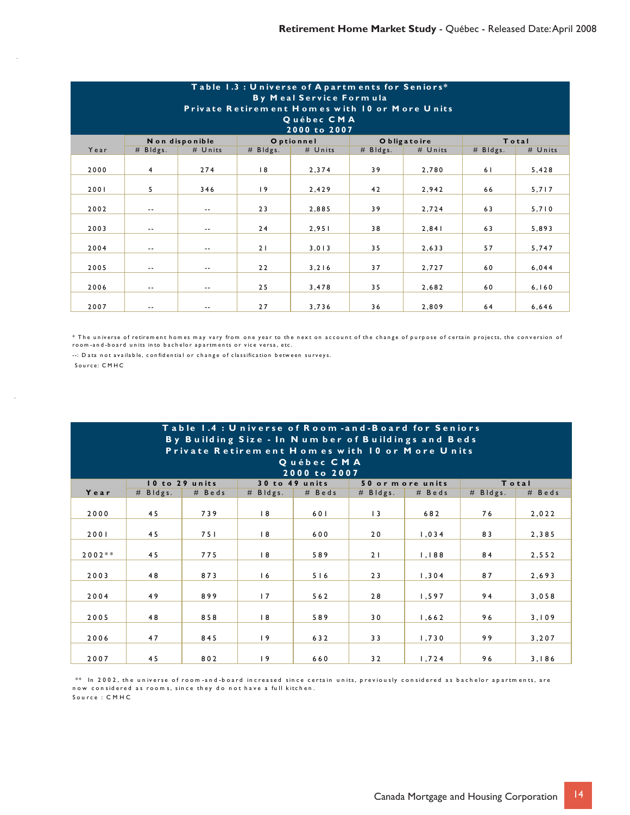| Table 1.3 : Universe of Apartments for Seniors*<br>By Meal Service Formula<br>Private Retirement Homes with 10 or More Units<br>Québec CMA<br>2000 to 2007 |               |                |            |            |            |              |            |         |  |
|------------------------------------------------------------------------------------------------------------------------------------------------------------|---------------|----------------|------------|------------|------------|--------------|------------|---------|--|
|                                                                                                                                                            |               | Non disponible |            | O ptionnel |            | O bligatoire |            | Total   |  |
| Year                                                                                                                                                       | $#$ Bldgs.    | # Units        | $#$ Bldgs. | # Units    | $#$ Bldgs. | # Units      | $#$ Bldgs. | # Units |  |
| 2000                                                                                                                                                       | 4             | 274            | 8          | 2,374      | 39         | 2,780        | 61         | 5,428   |  |
| 2001                                                                                                                                                       | 5             | 346            | 19         | 2,429      | 42         | 2,942        | 66         | 5,717   |  |
| 2002                                                                                                                                                       | $\sim$ $\sim$ | $\sim$ $\sim$  | 23         | 2,885      | 39         | 2,724        | 63         | 5,710   |  |
| 2003                                                                                                                                                       | $- -$         | $\sim$ $-$     | 24         | 2,951      | 38         | 2,841        | 63         | 5,893   |  |
| 2004                                                                                                                                                       | $- -$         | $-$            | 21         | 3,013      | 35         | 2,633        | 57         | 5,747   |  |
| 2005                                                                                                                                                       | --            | $\sim$ $\sim$  | 22         | 3, 216     | 37         | 2,727        | 60         | 6,044   |  |
| 2006                                                                                                                                                       | $\sim$ $\sim$ | $\sim$ $\sim$  | 25         | 3,478      | 35         | 2,682        | 60         | 6, 160  |  |
| 2007                                                                                                                                                       | $\sim$ $\sim$ | $\sim$ $\sim$  | 27         | 3,736      | 36         | 2,809        | 64         | 6,646   |  |

\* The universe of retirement homes may vary from one year to the next on account of the change of purpose of certain projects, the conversion of<br>room-and-board units into bachelor apartments or vice versa, etc.

--: Data not available, confidential or change of classification between surveys. Sou rce: C M HC

 $\sim$ 

| Table 1.4 : Universe of Room -and -Board for Seniors<br>By Building Size - In Number of Buildings and Beds<br>Private Retirem ent Homes with 10 or More Units<br>Québec CMA |            |                |            |                |            |                   |            |          |  |
|-----------------------------------------------------------------------------------------------------------------------------------------------------------------------------|------------|----------------|------------|----------------|------------|-------------------|------------|----------|--|
|                                                                                                                                                                             |            |                |            | 2000 to 2007   |            |                   |            |          |  |
|                                                                                                                                                                             |            | 10 to 29 units |            | 30 to 49 units |            | 50 or m ore units |            | Total    |  |
| Year                                                                                                                                                                        | $#$ Bldgs. | # Beds         | $#$ Bldgs. | # Beds         | $#$ Bldgs. | $#$ Beds          | $#$ Bldgs. | $#$ Beds |  |
| 2000                                                                                                                                                                        | 45         | 739            | 8          | 601            | $\vert$ 3  | 682               | 76         | 2,022    |  |
| 2001                                                                                                                                                                        | 45         | 751            | 8          | 600            | 20         | 1,034             | 83         | 2,385    |  |
| $2002**$                                                                                                                                                                    | 45         | 775            | 18         | 589            | 21         | 1,188             | 84         | 2,552    |  |
| 2003                                                                                                                                                                        | 48         | 873            | 16         | 516            | 23         | 1, 304            | 87         | 2,693    |  |
| 2004                                                                                                                                                                        | 49         | 899            | 17         | 562            | 28         | 1,597             | 94         | 3,058    |  |
| 2005                                                                                                                                                                        | 48         | 858            | 8          | 589            | 30         | 1,662             | 96         | 3,109    |  |
| 2006                                                                                                                                                                        | 47         | 845            | 19         | 632            | 33         | 1,730             | 99         | 3,207    |  |
| 2007                                                                                                                                                                        | 45         | 802            | 19         | 660            | 32         | 1,724             | 96         | 3,186    |  |

Sou rce : C M H C \*\* In 2002, the universe of room-and-board increased since certain units, previously considered as bachelor apartments, are now considered as rooms, since they do not have a full kitchen.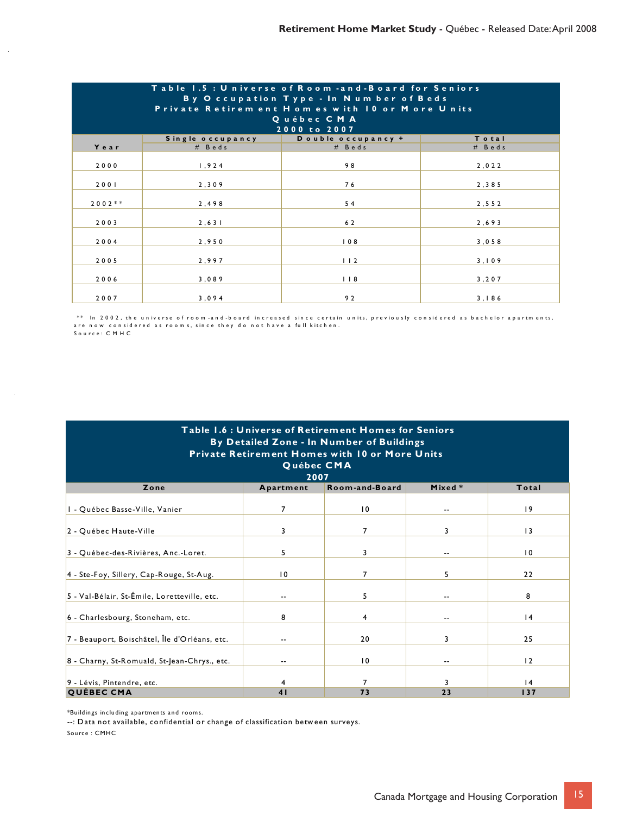| Table 1.5 : Universe of Room -and-Board for Seniors<br>By Occupation Type - In Number of Beds<br>Private Retirem ent Homes with 10 or More Units<br>Québec CMA<br>2000 to 2007 |                  |                    |        |  |  |  |
|--------------------------------------------------------------------------------------------------------------------------------------------------------------------------------|------------------|--------------------|--------|--|--|--|
|                                                                                                                                                                                | Single occupancy | Double occupancy + | Total  |  |  |  |
| Year                                                                                                                                                                           | # Beds           | # Beds             | # Beds |  |  |  |
| 2000                                                                                                                                                                           | 1,924            | 98                 | 2,022  |  |  |  |
| 2001                                                                                                                                                                           | 2,309            | 76                 | 2,385  |  |  |  |
| $2002**$                                                                                                                                                                       | 2,498            | 54                 | 2,552  |  |  |  |
| 2003                                                                                                                                                                           | 2, 631           | 62                 | 2,693  |  |  |  |
| 2004                                                                                                                                                                           | 2,950            | 108                | 3,058  |  |  |  |
| 2005                                                                                                                                                                           | 2,997            | 112                | 3,109  |  |  |  |
| 2006                                                                                                                                                                           | 3,089            | 118                | 3, 207 |  |  |  |
| 2007                                                                                                                                                                           | 3,094            | 92                 | 3,186  |  |  |  |

S o u rc e: C M H C  $\ast\ast$  In 2002, the universe of room-and-board increased since certain units, previously considered as bachelor apartments, are now considered as rooms, since they do not have a full kitchen.

| Table 1.6 : Universe of Retirement Homes for Seniors<br>By Detailed Zone - In Number of Buildings<br><b>Private Retirement Homes with 10 or More Units</b><br>Québec CMA<br>2007 |                          |                 |        |                 |  |  |  |
|----------------------------------------------------------------------------------------------------------------------------------------------------------------------------------|--------------------------|-----------------|--------|-----------------|--|--|--|
| Zone                                                                                                                                                                             | Apartment                | Room-and-Board  | Mixed* | Total           |  |  |  |
| I - Québec Basse-Ville, Vanier                                                                                                                                                   | $\overline{7}$           | $\overline{0}$  | $- -$  | 9               |  |  |  |
| 2 - Québec Haute-Ville                                                                                                                                                           | 3                        | 7               | 3      | $\vert$ 3       |  |  |  |
| 3 - Québec-des-Rivières, Anc.-Loret.                                                                                                                                             | 5                        | 3               | $- -$  | $\overline{10}$ |  |  |  |
| 4 - Ste-Foy, Sillery, Cap-Rouge, St-Aug.                                                                                                                                         | 10                       | 7               | 5      | 22              |  |  |  |
| 5 - Val-Bélair, St-Émile, Loretteville, etc.                                                                                                                                     | ۰-                       | 5               | $- -$  | 8               |  |  |  |
| 6 - Charlesbourg, Stoneham, etc.                                                                                                                                                 | 8                        | 4               | $- -$  | 4               |  |  |  |
| 7 - Beauport, Boischâtel, Île d'Orléans, etc.                                                                                                                                    | $\overline{\phantom{a}}$ | 20              | 3      | 25              |  |  |  |
| 8 - Charny, St-Romuald, St-Jean-Chrys., etc.                                                                                                                                     | ۰-                       | $\overline{10}$ | $- -$  | 12              |  |  |  |
| 9 - Lévis, Pintendre, etc.                                                                                                                                                       | 4                        | 7               | 3      | 4               |  |  |  |
| <b>QUÉBEC CMA</b>                                                                                                                                                                | 41                       | 73              | 23     | 137             |  |  |  |

\*Buildings including apartments and rooms.

--: Data not available, confidential or change of classification between surveys.

Source : CMHC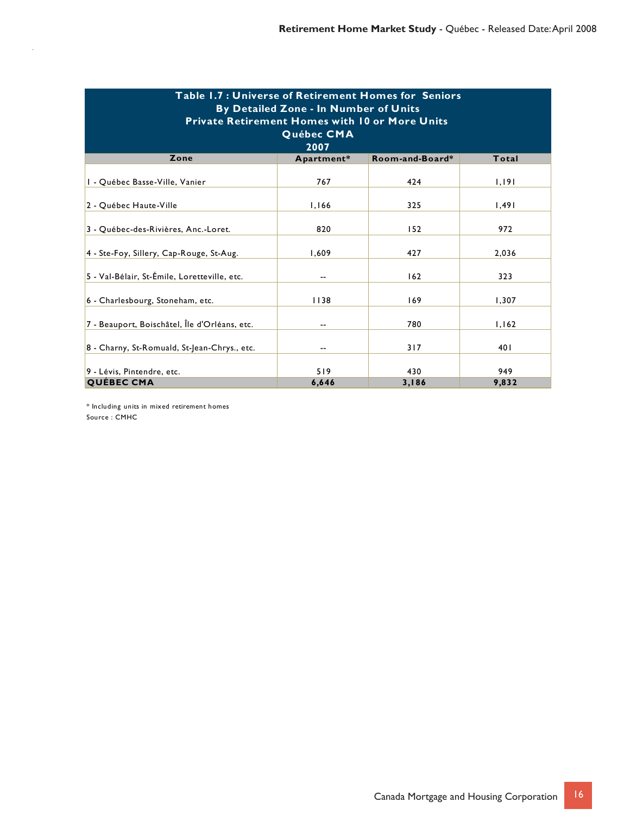| Table 1.7 : Universe of Retirement Homes for Seniors<br>By Detailed Zone - In Number of Units<br><b>Private Retirement Homes with 10 or More Units</b><br>Québec CMA<br>2007 |              |                 |              |  |  |  |  |
|------------------------------------------------------------------------------------------------------------------------------------------------------------------------------|--------------|-----------------|--------------|--|--|--|--|
| Zone                                                                                                                                                                         | Apartment*   | Room-and-Board* | Total        |  |  |  |  |
| I - Québec Basse-Ville, Vanier                                                                                                                                               | 767          | 424             | 1,191        |  |  |  |  |
| 2 - Québec Haute-Ville                                                                                                                                                       | 1,166        | 325             | 1,491        |  |  |  |  |
| 3 - Québec-des-Rivières, Anc.-Loret.                                                                                                                                         | 820          | 152             | 972          |  |  |  |  |
| 4 - Ste-Foy, Sillery, Cap-Rouge, St-Aug.                                                                                                                                     | 1,609        | 427             | 2,036        |  |  |  |  |
| 5 - Val-Bélair, St-Émile, Loretteville, etc.                                                                                                                                 | --           | 162             | 323          |  |  |  |  |
| 6 - Charlesbourg, Stoneham, etc.                                                                                                                                             | 1138         | 169             | 1,307        |  |  |  |  |
| 7 - Beauport, Boischâtel, Île d'Orléans, etc.                                                                                                                                |              | 780             | 1,162        |  |  |  |  |
| 8 - Charny, St-Romuald, St-Jean-Chrys., etc.                                                                                                                                 |              | 317             | 401          |  |  |  |  |
| 9 - Lévis, Pintendre, etc.<br><b>QUÉBEC CMA</b>                                                                                                                              | 519<br>6,646 | 430<br>3,186    | 949<br>9,832 |  |  |  |  |

\* Including units in mixed retirement homes Source : CMHC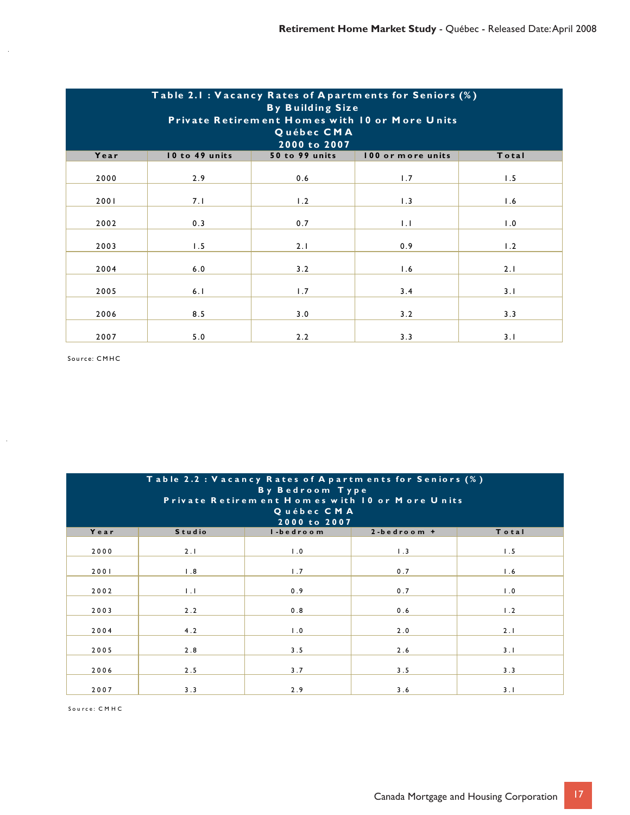| Table 2.1: Vacancy Rates of Apartments for Seniors (%)<br><b>By Building Size</b><br>Private Retirement Homes with 10 or More Units<br>Québec CMA<br>2000 to 2007 |                |                |                   |       |  |  |  |
|-------------------------------------------------------------------------------------------------------------------------------------------------------------------|----------------|----------------|-------------------|-------|--|--|--|
| Year                                                                                                                                                              | 10 to 49 units | 50 to 99 units | 100 or more units | Total |  |  |  |
| 2000                                                                                                                                                              | 2.9            | 0.6            | 1.7               | 1.5   |  |  |  |
| 2001                                                                                                                                                              | 7.1            | 1.2            | 1.3               | 1.6   |  |  |  |
| 2002                                                                                                                                                              | 0.3            | 0.7            | $\mathsf{L}$      | 1.0   |  |  |  |
| 2003                                                                                                                                                              | 1.5            | 2.1            | 0.9               | 1.2   |  |  |  |
| 2004                                                                                                                                                              | 6.0            | 3.2            | 1.6               | 2.1   |  |  |  |
| 2005                                                                                                                                                              | 6.1            | 1.7            | 3.4               | 3.1   |  |  |  |
| 2006                                                                                                                                                              | 8.5            | 3.0            | 3.2               | 3.3   |  |  |  |
| 2007                                                                                                                                                              | 5.0            | 2.2            | 3.3               | 3.1   |  |  |  |

Source: CMHC

 $\hat{\boldsymbol{\gamma}}$ 

 $\frac{1}{2}$ 

| Table 2.2 : Vacancy Rates of A partments for Seniors (%)<br>By Bedroom Type<br>Private Retirem ent Homes with 10 or More Units<br>Québec CMA<br>2000 to 2007 |                |           |                    |                   |  |  |  |
|--------------------------------------------------------------------------------------------------------------------------------------------------------------|----------------|-----------|--------------------|-------------------|--|--|--|
| Year                                                                                                                                                         | <b>Studio</b>  | I-bedroom | $2 - b$ edroom $+$ | Total             |  |  |  |
| 2000                                                                                                                                                         | 2.1            | 1.0       | 1.3                | 1.5               |  |  |  |
| 2001                                                                                                                                                         | 1.8            | 1.7       | 0.7                | 1.6               |  |  |  |
| 2002                                                                                                                                                         | $\mathbf{L}$ . | 0.9       | 0.7                | $\overline{1}$ .0 |  |  |  |
| 2003                                                                                                                                                         | 2.2            | 0.8       | 0.6                | 1.2               |  |  |  |
| 2004                                                                                                                                                         | 4.2            | 1.0       | 2.0                | 2.1               |  |  |  |
| 2005                                                                                                                                                         | 2.8            | 3.5       | 2.6                | 3.1               |  |  |  |
| 2006                                                                                                                                                         | 2.5            | 3.7       | 3.5                | 3.3               |  |  |  |
| 2007                                                                                                                                                         | 3.3            | 2.9       | 3.6                | 3.1               |  |  |  |

Sou rce: C M H C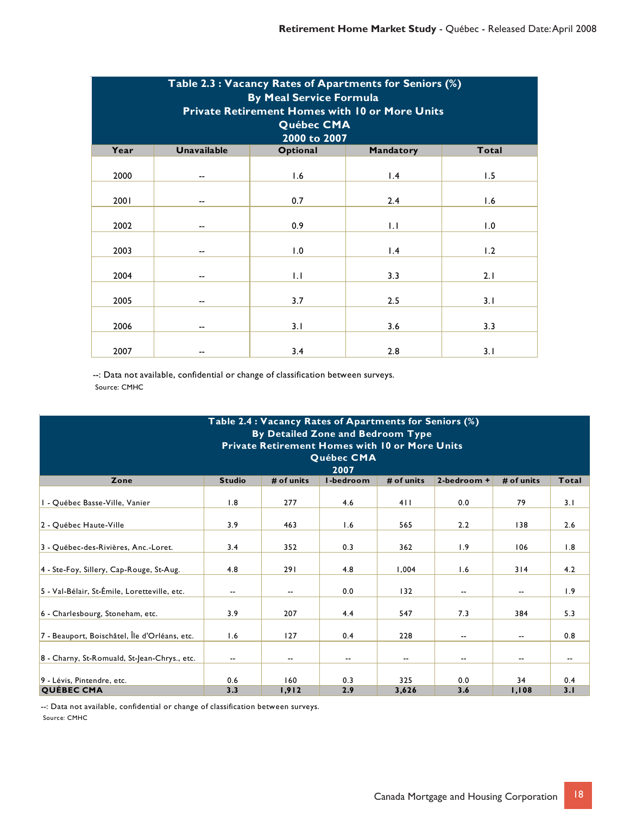| Table 2.3 : Vacancy Rates of Apartments for Seniors (%)<br><b>By Meal Service Formula</b><br><b>Private Retirement Homes with 10 or More Units</b><br>Québec CMA<br>2000 to 2007 |                    |          |           |       |  |  |
|----------------------------------------------------------------------------------------------------------------------------------------------------------------------------------|--------------------|----------|-----------|-------|--|--|
| Year                                                                                                                                                                             | <b>Unavailable</b> | Optional | Mandatory | Total |  |  |
| 2000                                                                                                                                                                             | --                 | 1.6      | 1.4       | 1.5   |  |  |
| 2001                                                                                                                                                                             |                    | 0.7      | 2.4       | 1.6   |  |  |
| 2002                                                                                                                                                                             | --                 | 0.9      | 1.1       | 1.0   |  |  |
| 2003                                                                                                                                                                             | --                 | 1.0      | 1.4       | 1.2   |  |  |
| 2004                                                                                                                                                                             | --                 | 1.1      | 3.3       | 2.1   |  |  |
| 2005                                                                                                                                                                             | --                 | 3.7      | 2.5       | 3.1   |  |  |
| 2006                                                                                                                                                                             | --                 | 3.1      | 3.6       | 3.3   |  |  |
| 2007                                                                                                                                                                             |                    | 3.4      | 2.8       | 3.1   |  |  |

| Table 2.4 : Vacancy Rates of Apartments for Seniors (%)<br>By Detailed Zone and Bedroom Type<br><b>Private Retirement Homes with 10 or More Units</b><br>Québec CMA<br>2007 |               |                          |            |              |                        |                          |                          |
|-----------------------------------------------------------------------------------------------------------------------------------------------------------------------------|---------------|--------------------------|------------|--------------|------------------------|--------------------------|--------------------------|
| Zone                                                                                                                                                                        | <b>Studio</b> | # of units               | I-bedroom  | # of units   | $2 - \text{bedroom}$ + | # of units               | Total                    |
| I - Québec Basse-Ville, Vanier                                                                                                                                              | 1.8           | 277                      | 4.6        | 411          | 0.0                    | 79                       | 3.1                      |
| 2 - Ouébec Haute-Ville                                                                                                                                                      | 3.9           | 463                      | 1.6        | 565          | 2.2                    | 138                      | 2.6                      |
| 3 - Québec-des-Rivières, Anc.-Loret.                                                                                                                                        | 3.4           | 352                      | 0.3        | 362          | 1.9                    | 106                      | 1.8                      |
| 4 - Ste-Foy, Sillery, Cap-Rouge, St-Aug.                                                                                                                                    | 4.8           | 291                      | 4.8        | 1,004        | 1.6                    | 314                      | 4.2                      |
| 5 - Val-Bélair, St-Émile, Loretteville, etc.                                                                                                                                | --            | $\overline{\phantom{a}}$ | 0.0        | 132          | $- -$                  | $\overline{\phantom{a}}$ | 1.9                      |
| 6 - Charlesbourg, Stoneham, etc.                                                                                                                                            | 3.9           | 207                      | 4.4        | 547          | 7.3                    | 384                      | 5.3                      |
| 7 - Beauport, Boischâtel, Île d'Orléans, etc.                                                                                                                               | 1.6           | 127                      | 0.4        | 228          | ۰.                     | --                       | 0.8                      |
| 8 - Charny, St-Romuald, St-Jean-Chrys., etc.                                                                                                                                | --            | $\overline{\phantom{a}}$ | --         | --           | --                     | --                       | $\overline{\phantom{a}}$ |
| 9 - Lévis, Pintendre, etc.<br><b>QUÉBEC CMA</b>                                                                                                                             | 0.6<br>3.3    | 160<br>1,912             | 0.3<br>2.9 | 325<br>3,626 | 0.0<br>3.6             | 34<br>1,108              | 0.4<br>3.1               |

--: Data not available, confidential or change of classification between surveys. Source: CMHC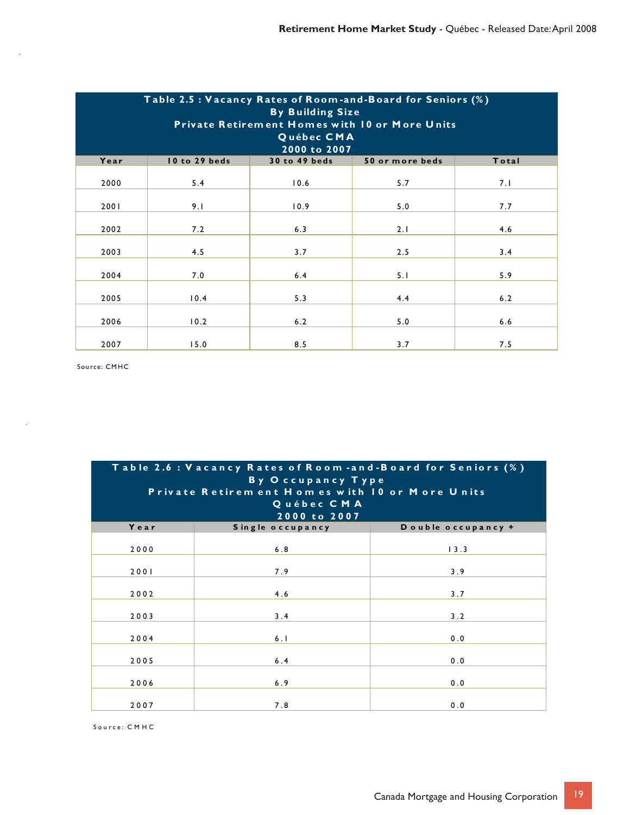| Table 2.5 : Vacancy Rates of Room-and-Board for Seniors (%)<br><b>By Building Size</b><br>Private Retirement Homes with 10 or More Units<br>Québec CMA<br>2000 to 2007 |               |               |                 |       |  |  |
|------------------------------------------------------------------------------------------------------------------------------------------------------------------------|---------------|---------------|-----------------|-------|--|--|
| Year                                                                                                                                                                   | 10 to 29 beds | 30 to 49 beds | 50 or more beds | Total |  |  |
| 2000                                                                                                                                                                   | 5.4           | 10.6          | 5.7             | 7.1   |  |  |
| 2001                                                                                                                                                                   | 9.1           | 10.9          | 5.0             | 7.7   |  |  |
| 2002                                                                                                                                                                   | 7.2           | 6.3           | 2.1             | 4.6   |  |  |
| 2003                                                                                                                                                                   | 4.5           | 3.7           | 2.5             | 3.4   |  |  |
| 2004                                                                                                                                                                   | 7.0           | 6.4           | 5.1             | 5.9   |  |  |
| 2005                                                                                                                                                                   | 10.4          | 5.3           | 4.4             | 6.2   |  |  |
| 2006                                                                                                                                                                   | 10.2          | 6.2           | 5.0             | 6.6   |  |  |
| 2007                                                                                                                                                                   | 15.0          | 8.5           | 3.7             | 7.5   |  |  |

Source: CMHC

l,

 $\hat{\mathcal{A}}$ 

| Table 2.6 : Vacancy Rates of Room -and-Board for Seniors (%)<br><b>By Occupancy Type</b><br>Private Retirem ent Homes with 10 or More Units<br>Québec CMA<br>2000 to 2007 |                  |                    |  |  |  |  |
|---------------------------------------------------------------------------------------------------------------------------------------------------------------------------|------------------|--------------------|--|--|--|--|
| Year                                                                                                                                                                      | Single occupancy | Double occupancy + |  |  |  |  |
| 2000                                                                                                                                                                      | 6.8              | 13.3               |  |  |  |  |
| 2001                                                                                                                                                                      | 7.9              | 3.9                |  |  |  |  |
| 2002                                                                                                                                                                      | 4.6              | 3.7                |  |  |  |  |
| 2003                                                                                                                                                                      | 3.4              | 3.2                |  |  |  |  |
| 2004                                                                                                                                                                      | 6.1              | 0.0                |  |  |  |  |
| 2005                                                                                                                                                                      | 6.4              | 0.0                |  |  |  |  |
| 2006                                                                                                                                                                      | 6.9              | 0.0                |  |  |  |  |
| 2007                                                                                                                                                                      | 7.8              | 0.0                |  |  |  |  |

So u rce: C M H C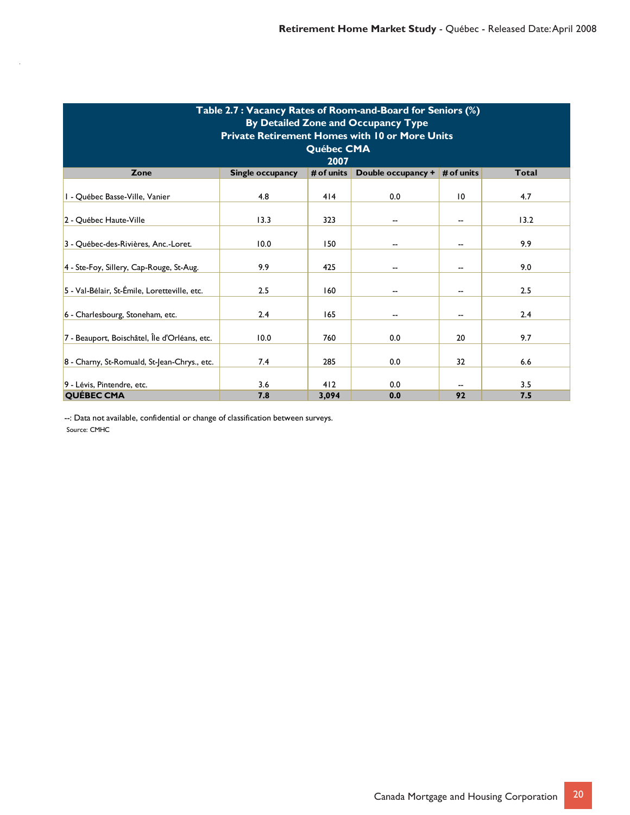| Table 2.7: Vacancy Rates of Room-and-Board for Seniors (%)<br>By Detailed Zone and Occupancy Type<br><b>Private Retirement Homes with 10 or More Units</b><br>Québec CMA<br>2007 |                         |              |                    |                 |              |  |  |
|----------------------------------------------------------------------------------------------------------------------------------------------------------------------------------|-------------------------|--------------|--------------------|-----------------|--------------|--|--|
| Zone                                                                                                                                                                             | <b>Single occupancy</b> | # of units   | Double occupancy + | # of units      | <b>Total</b> |  |  |
| I - Québec Basse-Ville, Vanier                                                                                                                                                   | 4.8                     | 414          | 0.0                | $\overline{10}$ | 4.7          |  |  |
| 2 - Québec Haute-Ville                                                                                                                                                           | 13.3                    | 323          |                    | --              | 13.2         |  |  |
| 3 - Québec-des-Rivières, Anc.-Loret.                                                                                                                                             | 10.0                    | 150          |                    | --              | 9.9          |  |  |
| 4 - Ste-Foy, Sillery, Cap-Rouge, St-Aug.                                                                                                                                         | 9.9                     | 425          |                    | --              | 9.0          |  |  |
| 5 - Val-Bélair, St-Émile, Loretteville, etc.                                                                                                                                     | 2.5                     | 160          |                    |                 | 2.5          |  |  |
| 6 - Charlesbourg, Stoneham, etc.                                                                                                                                                 | 2.4                     | 165          |                    | --              | 2.4          |  |  |
| 7 - Beauport, Boischâtel, Île d'Orléans, etc.                                                                                                                                    | 10.0                    | 760          | 0.0                | 20              | 9.7          |  |  |
| 8 - Charny, St-Romuald, St-Jean-Chrys., etc.                                                                                                                                     | 7.4                     | 285          | 0.0                | 32              | 6.6          |  |  |
| 9 - Lévis, Pintendre, etc.<br><b>QUÉBEC CMA</b>                                                                                                                                  | 3.6<br>7.8              | 412<br>3,094 | 0.0<br>0.0         | 92              | 3.5<br>7.5   |  |  |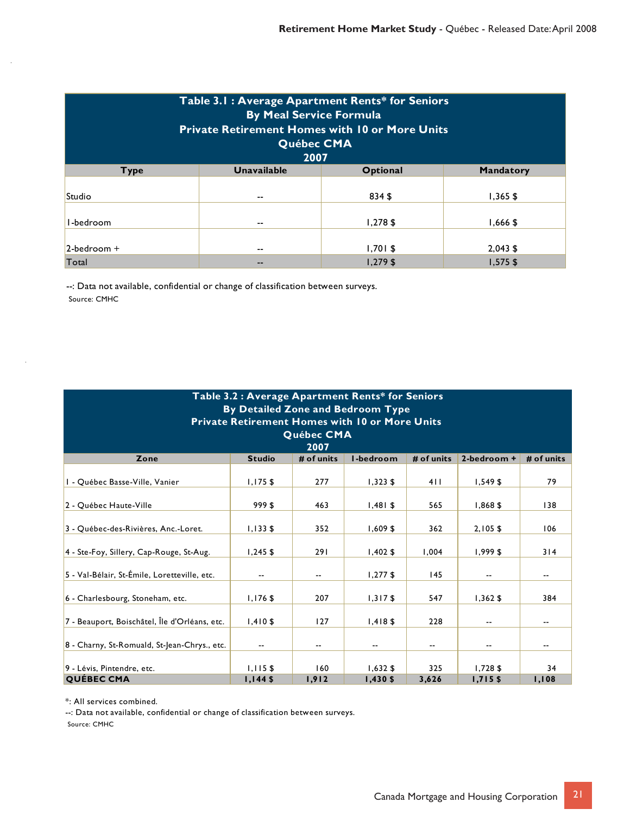| Table 3.1: Average Apartment Rents* for Seniors<br><b>By Meal Service Formula</b><br><b>Private Retirement Homes with 10 or More Units</b><br>Québec CMA<br>2007 |                    |                          |                          |  |  |  |
|------------------------------------------------------------------------------------------------------------------------------------------------------------------|--------------------|--------------------------|--------------------------|--|--|--|
| <b>Type</b>                                                                                                                                                      | <b>Unavailable</b> | Optional                 | <b>Mandatory</b>         |  |  |  |
| Studio                                                                                                                                                           | --                 | 834 \$                   | $1,365$ \$               |  |  |  |
| I-bedroom                                                                                                                                                        | --                 | $1,278$ \$               | $1,666$ \$               |  |  |  |
| $2$ -bedroom +<br>Total                                                                                                                                          | --<br>--           | $1,701$ \$<br>$1,279$ \$ | $2,043$ \$<br>$1,575$ \$ |  |  |  |

| Table 3.2 : Average Apartment Rents* for Seniors<br>By Detailed Zone and Bedroom Type |               |            |            |            |                          |            |  |  |
|---------------------------------------------------------------------------------------|---------------|------------|------------|------------|--------------------------|------------|--|--|
| <b>Private Retirement Homes with 10 or More Units</b>                                 |               |            |            |            |                          |            |  |  |
|                                                                                       |               | Québec CMA |            |            |                          |            |  |  |
|                                                                                       |               | 2007       |            |            |                          |            |  |  |
| Zone                                                                                  | <b>Studio</b> | # of units | I-bedroom  | # of units | 2-bedroom +              | # of units |  |  |
| I - Québec Basse-Ville, Vanier                                                        | $1,175$ \$    | 277        | $1,323$ \$ | 411        | $1,549$ \$               | 79         |  |  |
| 2 - Québec Haute-Ville                                                                | 999 \$        | 463        | $1,481$ \$ | 565        | 1,868\$                  | 138        |  |  |
| 3 - Québec-des-Rivières, Anc.-Loret.                                                  | $1,133$ \$    | 352        | 1,609\$    | 362        | $2,105$ \$               | 106        |  |  |
| 4 - Ste-Foy, Sillery, Cap-Rouge, St-Aug.                                              | $1,245$ \$    | 291        | $1,402$ \$ | 1,004      | $1,999$ \$               | 314        |  |  |
| 5 - Val-Bélair, St-Émile, Loretteville, etc.                                          | --            | $- -$      | $1,277$ \$ | 145        | $\overline{\phantom{a}}$ | $- -$      |  |  |
| 6 - Charlesbourg, Stoneham, etc.                                                      | $1,176$ \$    | 207        | $1,317$ \$ | 547        | $1,362$ \$               | 384        |  |  |
| 7 - Beauport, Boischâtel, Île d'Orléans, etc.                                         | $1,410$ \$    | 127        | $1,418$ \$ | 228        | $\overline{\phantom{a}}$ |            |  |  |
| 8 - Charny, St-Romuald, St-Jean-Chrys., etc.                                          |               | --         |            | --         | --                       |            |  |  |
| 9 - Lévis, Pintendre, etc.                                                            | $1,115$ \$    | 160        | $1,632$ \$ | 325        | $1,728$ \$               | 34         |  |  |
| <b>QUÉBEC CMA</b>                                                                     | $1,144$ \$    | 1,912      | $1,430$ \$ | 3,626      | $1,715$ \$               | 1,108      |  |  |

\*: All services combined.

--: Data not available, confidential or change of classification between surveys.

Source: CMHC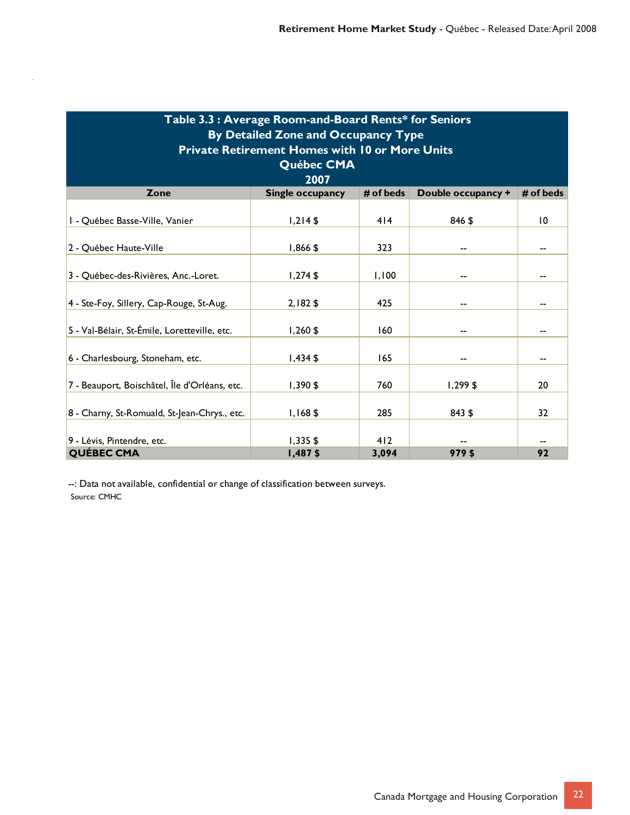| Table 3.3 : Average Room-and-Board Rents* for Seniors |                         |           |                    |                 |  |  |  |  |
|-------------------------------------------------------|-------------------------|-----------|--------------------|-----------------|--|--|--|--|
| By Detailed Zone and Occupancy Type                   |                         |           |                    |                 |  |  |  |  |
| <b>Private Retirement Homes with 10 or More Units</b> |                         |           |                    |                 |  |  |  |  |
|                                                       | Québec CMA              |           |                    |                 |  |  |  |  |
|                                                       | 2007                    |           |                    |                 |  |  |  |  |
| Zone                                                  | <b>Single occupancy</b> | # of beds | Double occupancy + | # of beds       |  |  |  |  |
| I - Québec Basse-Ville, Vanier                        | $1,214$ \$              | 414       | 846 \$             | $\overline{10}$ |  |  |  |  |
| 2 - Québec Haute-Ville                                | $1,866$ \$              | 323       |                    |                 |  |  |  |  |
| 3 - Québec-des-Rivières, Anc.-Loret.                  | $1,274$ \$              | 1,100     |                    |                 |  |  |  |  |
| 4 - Ste-Foy, Sillery, Cap-Rouge, St-Aug.              | $2,182$ \$              | 425       |                    |                 |  |  |  |  |
| 5 - Val-Bélair, St-Émile, Loretteville, etc.          | $1,260$ \$              | 160       |                    |                 |  |  |  |  |
| 6 - Charlesbourg, Stoneham, etc.                      | $1,434$ \$              | 165       |                    |                 |  |  |  |  |
| 7 - Beauport, Boischâtel, Île d'Orléans, etc.         | $1,390$ \$              | 760       | $1,299$ \$         | 20              |  |  |  |  |
| 8 - Charny, St-Romuald, St-Jean-Chrys., etc.          | $1,168$ \$              | 285       | 843 \$             | 32              |  |  |  |  |
| 9 - Lévis, Pintendre, etc.                            | $1,335$ \$              | 412       |                    |                 |  |  |  |  |
| <b>QUÉBEC CMA</b>                                     | 1,487\$                 | 3,094     | 979\$              | 92              |  |  |  |  |

ł,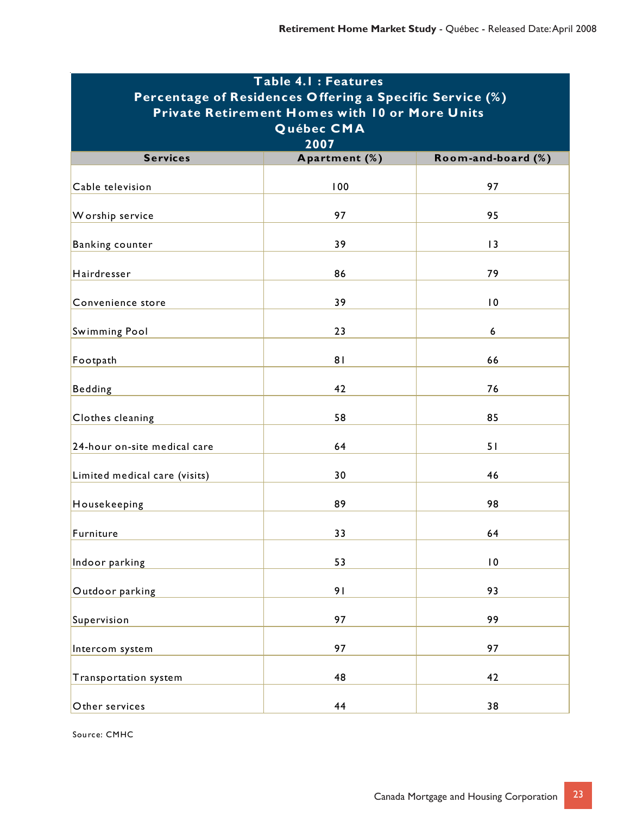| Table 4.1 : Features                                     |                |                    |  |  |  |  |  |
|----------------------------------------------------------|----------------|--------------------|--|--|--|--|--|
| Percentage of Residences Offering a Specific Service (%) |                |                    |  |  |  |  |  |
| <b>Private Retirement Homes with 10 or More Units</b>    |                |                    |  |  |  |  |  |
| Québec CMA                                               |                |                    |  |  |  |  |  |
|                                                          | 2007           |                    |  |  |  |  |  |
| <b>Services</b>                                          | Apartment (%)  | Room-and-board (%) |  |  |  |  |  |
| Cable television                                         | 100            | 97                 |  |  |  |  |  |
| Worship service                                          | 97             | 95                 |  |  |  |  |  |
| Banking counter                                          | 39             | 3                  |  |  |  |  |  |
| Hairdresser                                              | 86             | 79                 |  |  |  |  |  |
| Convenience store                                        | 39             | $\overline{0}$     |  |  |  |  |  |
| <b>Swimming Pool</b>                                     | 23             | $\boldsymbol{6}$   |  |  |  |  |  |
| Footpath                                                 | 8 <sub>1</sub> | 66                 |  |  |  |  |  |
| <b>Bedding</b>                                           | 42             | 76                 |  |  |  |  |  |
| Clothes cleaning                                         | 58             | 85                 |  |  |  |  |  |
| 24-hour on-site medical care                             | 64             | 51                 |  |  |  |  |  |
| Limited medical care (visits)                            | 30             | 46                 |  |  |  |  |  |
| Housekeeping                                             | 89             | 98                 |  |  |  |  |  |
| Furniture                                                | 33             | 64                 |  |  |  |  |  |
| Indoor parking                                           | 53             | $\overline{10}$    |  |  |  |  |  |
| Outdoor parking                                          | 91             | 93                 |  |  |  |  |  |
| Supervision                                              | 97             | 99                 |  |  |  |  |  |
| Intercom system                                          | 97             | 97                 |  |  |  |  |  |
| Transportation system                                    | 48             | 42                 |  |  |  |  |  |
| Other services                                           | 44             | 38                 |  |  |  |  |  |

Source: CMHC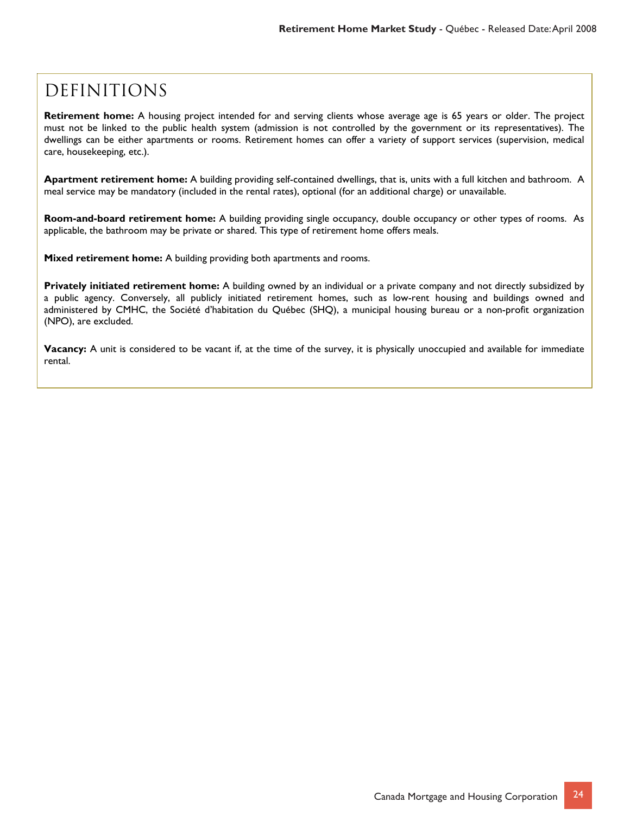### **DEFINITIONS**

**Retirement home:** A housing project intended for and serving clients whose average age is 65 years or older. The project must not be linked to the public health system (admission is not controlled by the government or its representatives). The dwellings can be either apartments or rooms. Retirement homes can offer a variety of support services (supervision, medical care, housekeeping, etc.).

**Apartment retirement home:** A building providing self-contained dwellings, that is, units with a full kitchen and bathroom. A meal service may be mandatory (included in the rental rates), optional (for an additional charge) or unavailable.

**Room-and-board retirement home:** A building providing single occupancy, double occupancy or other types of rooms. As applicable, the bathroom may be private or shared. This type of retirement home offers meals.

**Mixed retirement home:** A building providing both apartments and rooms.

**Privately initiated retirement home:** A building owned by an individual or a private company and not directly subsidized by a public agency. Conversely, all publicly initiated retirement homes, such as low-rent housing and buildings owned and administered by CMHC, the Société d'habitation du Québec (SHQ), a municipal housing bureau or a non-profit organization (NPO), are excluded.

**Vacancy:** A unit is considered to be vacant if, at the time of the survey, it is physically unoccupied and available for immediate rental.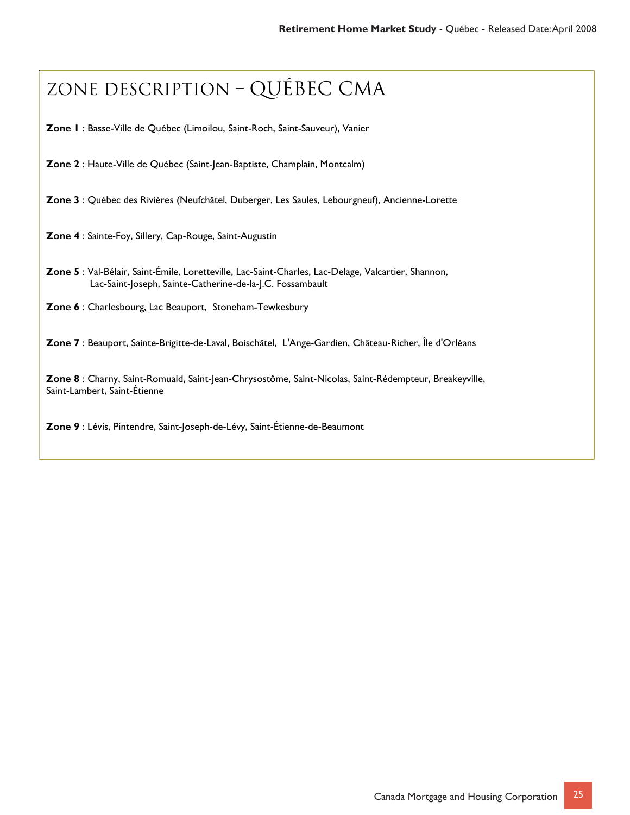## Zone description – Québec cma

**Zone 1** : Basse-Ville de Québec (Limoilou, Saint-Roch, Saint-Sauveur), Vanier

**Zone 2** : Haute-Ville de Québec (Saint-Jean-Baptiste, Champlain, Montcalm)

**Zone 3** : Québec des Rivières (Neufchâtel, Duberger, Les Saules, Lebourgneuf), Ancienne-Lorette

**Zone 4** : Sainte-Foy, Sillery, Cap-Rouge, Saint-Augustin

**Zone 5** : Val-Bélair, Saint-Émile, Loretteville, Lac-Saint-Charles, Lac-Delage, Valcartier, Shannon, Lac-Saint-Joseph, Sainte-Catherine-de-la-J.C. Fossambault

**Zone 6** : Charlesbourg, Lac Beauport, Stoneham-Tewkesbury

**Zone 7** : Beauport, Sainte-Brigitte-de-Laval, Boischâtel, L'Ange-Gardien, Château-Richer, Île d'Orléans

**Zone 8** : Charny, Saint-Romuald, Saint-Jean-Chrysostôme, Saint-Nicolas, Saint-Rédempteur, Breakeyville, Saint-Lambert, Saint-Étienne

**Zone 9** : Lévis, Pintendre, Saint-Joseph-de-Lévy, Saint-Étienne-de-Beaumont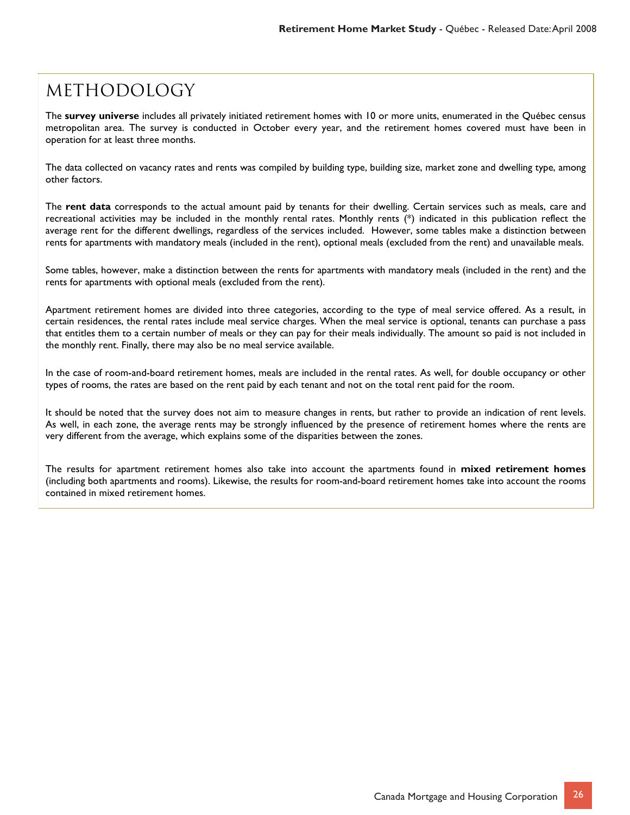### **METHODOLOGY**

The **survey universe** includes all privately initiated retirement homes with 10 or more units, enumerated in the Québec census metropolitan area. The survey is conducted in October every year, and the retirement homes covered must have been in operation for at least three months.

The data collected on vacancy rates and rents was compiled by building type, building size, market zone and dwelling type, among other factors.

The **rent data** corresponds to the actual amount paid by tenants for their dwelling. Certain services such as meals, care and recreational activities may be included in the monthly rental rates. Monthly rents (\*) indicated in this publication reflect the average rent for the different dwellings, regardless of the services included. However, some tables make a distinction between rents for apartments with mandatory meals (included in the rent), optional meals (excluded from the rent) and unavailable meals.

Some tables, however, make a distinction between the rents for apartments with mandatory meals (included in the rent) and the rents for apartments with optional meals (excluded from the rent).

Apartment retirement homes are divided into three categories, according to the type of meal service offered. As a result, in certain residences, the rental rates include meal service charges. When the meal service is optional, tenants can purchase a pass that entitles them to a certain number of meals or they can pay for their meals individually. The amount so paid is not included in the monthly rent. Finally, there may also be no meal service available.

In the case of room-and-board retirement homes, meals are included in the rental rates. As well, for double occupancy or other types of rooms, the rates are based on the rent paid by each tenant and not on the total rent paid for the room.

It should be noted that the survey does not aim to measure changes in rents, but rather to provide an indication of rent levels. As well, in each zone, the average rents may be strongly influenced by the presence of retirement homes where the rents are very different from the average, which explains some of the disparities between the zones.

The results for apartment retirement homes also take into account the apartments found in **mixed retirement homes** (including both apartments and rooms). Likewise, the results for room-and-board retirement homes take into account the rooms contained in mixed retirement homes.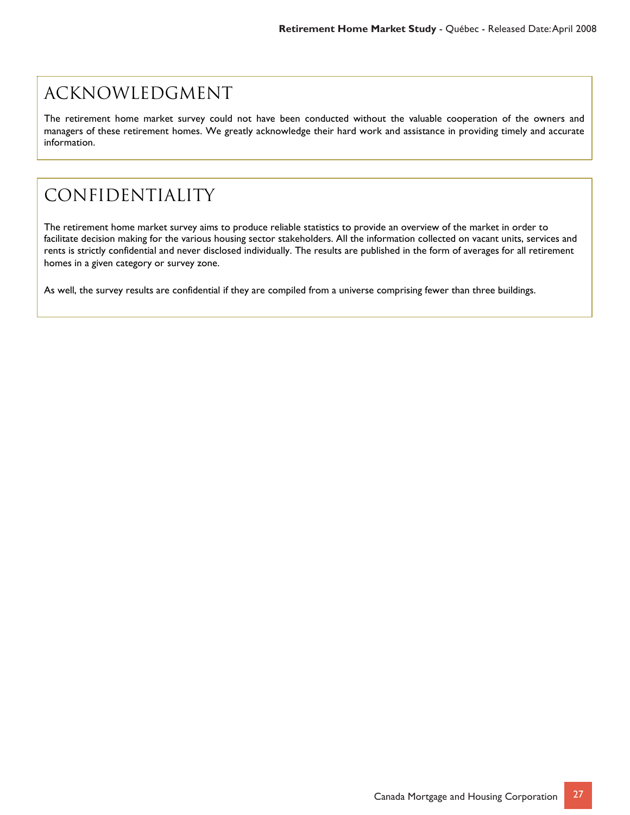### Acknowledgment

The retirement home market survey could not have been conducted without the valuable cooperation of the owners and managers of these retirement homes. We greatly acknowledge their hard work and assistance in providing timely and accurate information.

## Confidentiality

The retirement home market survey aims to produce reliable statistics to provide an overview of the market in order to facilitate decision making for the various housing sector stakeholders. All the information collected on vacant units, services and rents is strictly confidential and never disclosed individually. The results are published in the form of averages for all retirement homes in a given category or survey zone.

As well, the survey results are confidential if they are compiled from a universe comprising fewer than three buildings.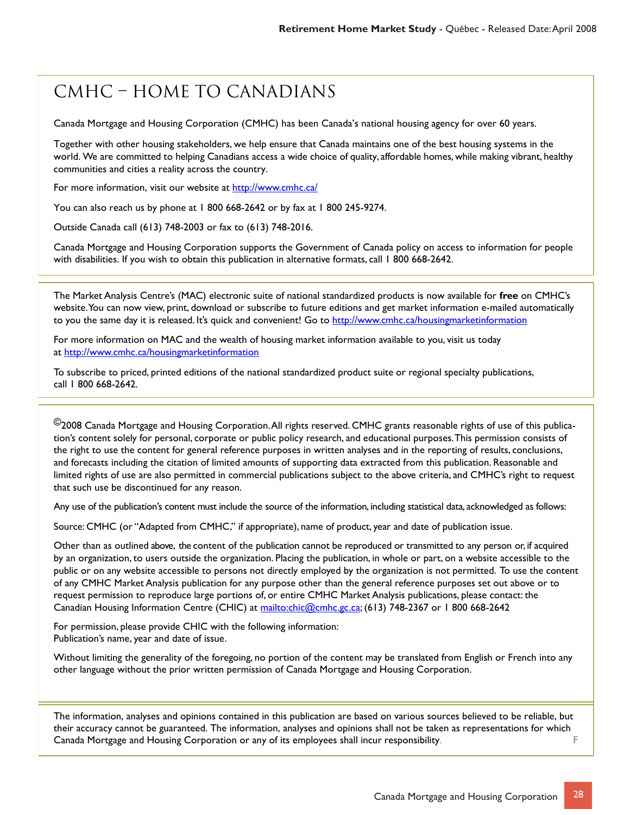## CMHC – Home to Canadians

Canada Mortgage and Housing Corporation (CMHC) has been Canada's national housing agency for over 60 years.

Together with other housing stakeholders, we help ensure that Canada maintains one of the best housing systems in the world. We are committed to helping Canadians access a wide choice of quality, affordable homes, while making vibrant, healthy communities and cities a reality across the country.

For more information, visit our website at http://www.cmhc.ca/

You can also reach us by phone at 1 800 668-2642 or by fax at 1 800 245-9274.

Outside Canada call (613) 748-2003 or fax to (613) 748-2016.

Canada Mortgage and Housing Corporation supports the Government of Canada policy on access to information for people with disabilities. If you wish to obtain this publication in alternative formats, call 1 800 668-2642.

The Market Analysis Centre's (MAC) electronic suite of national standardized products is now available for **free** on CMHC's website. You can now view, print, download or subscribe to future editions and get market information e-mailed automatically to you the same day it is released. It's quick and convenient! Go to http://www.cmhc.ca/housingmarketinformation

For more information on MAC and the wealth of housing market information available to you, visit us today at http://www.cmhc.ca/housingmarketinformation

To subscribe to priced, printed editions of the national standardized product suite or regional specialty publications, call 1 800 668-2642.

 $^\copyright$ 2008 Canada Mortgage and Housing Corporation. All rights reserved. CMHC grants reasonable rights of use of this publication's content solely for personal, corporate or public policy research, and educational purposes. This permission consists of the right to use the content for general reference purposes in written analyses and in the reporting of results, conclusions, and forecasts including the citation of limited amounts of supporting data extracted from this publication. Reasonable and limited rights of use are also permitted in commercial publications subject to the above criteria, and CMHC's right to request that such use be discontinued for any reason.

Any use of the publication's content must include the source of the information, including statistical data, acknowledged as follows:

Source: CMHC (or "Adapted from CMHC," if appropriate), name of product, year and date of publication issue.

Other than as outlined above, the content of the publication cannot be reproduced or transmitted to any person or, if acquired by an organization, to users outside the organization. Placing the publication, in whole or part, on a website accessible to the public or on any website accessible to persons not directly employed by the organization is not permitted. To use the content of any CMHC Market Analysis publication for any purpose other than the general reference purposes set out above or to request permission to reproduce large portions of, or entire CMHC Market Analysis publications, please contact: the Canadian Housing Information Centre (CHIC) at mailto:chic@cmhc.gc.ca; (613) 748-2367 or 1 800 668-2642

For permission, please provide CHIC with the following information: Publication's name, year and date of issue.

Without limiting the generality of the foregoing, no portion of the content may be translated from English or French into any other language without the prior written permission of Canada Mortgage and Housing Corporation.

The information, analyses and opinions contained in this publication are based on various sources believed to be reliable, but their accuracy cannot be guaranteed. The information, analyses and opinions shall not be taken as representations for which Canada Mortgage and Housing Corporation or any of its employees shall incur responsibility. F